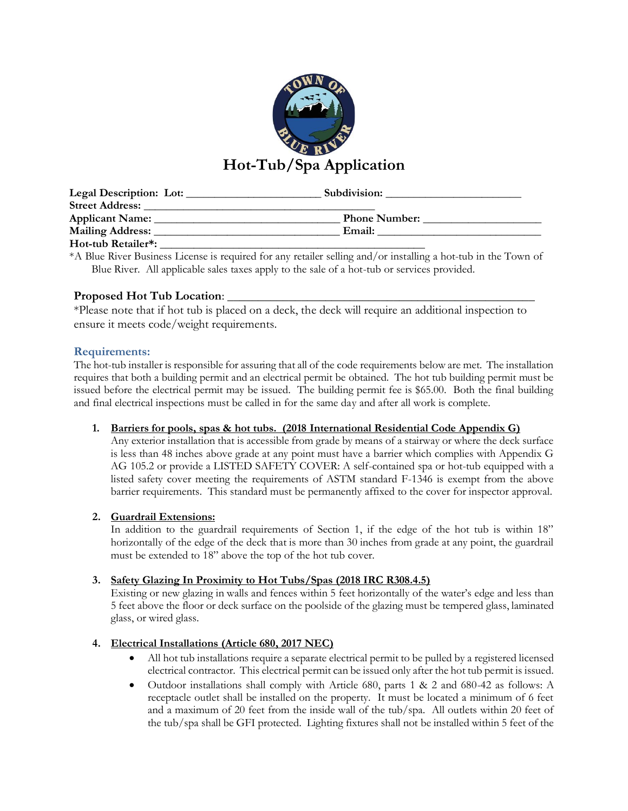

| Legal Description: Lot: | Subdivision:         |  |
|-------------------------|----------------------|--|
| <b>Street Address:</b>  |                      |  |
| Applicant Name:         | <b>Phone Number:</b> |  |
| Mailing Address: _      | Email:               |  |
| Hot-tub Retailer*:      |                      |  |

\*A Blue River Business License is required for any retailer selling and/or installing a hot-tub in the Town of Blue River. All applicable sales taxes apply to the sale of a hot-tub or services provided.

## **Proposed Hot Tub Location**: \_\_\_\_\_\_\_\_\_\_\_\_\_\_\_\_\_\_\_\_\_\_\_\_\_\_\_\_\_\_\_\_\_\_\_\_\_\_\_\_\_\_\_\_\_\_\_\_\_\_

\*Please note that if hot tub is placed on a deck, the deck will require an additional inspection to ensure it meets code/weight requirements.

## **Requirements:**

The hot-tub installer is responsible for assuring that all of the code requirements below are met. The installation requires that both a building permit and an electrical permit be obtained. The hot tub building permit must be issued before the electrical permit may be issued. The building permit fee is \$65.00. Both the final building and final electrical inspections must be called in for the same day and after all work is complete.

## **1. Barriers for pools, spas & hot tubs. (2018 International Residential Code Appendix G)**

Any exterior installation that is accessible from grade by means of a stairway or where the deck surface is less than 48 inches above grade at any point must have a barrier which complies with Appendix G AG 105.2 or provide a LISTED SAFETY COVER: A self-contained spa or hot-tub equipped with a listed safety cover meeting the requirements of ASTM standard F-1346 is exempt from the above barrier requirements. This standard must be permanently affixed to the cover for inspector approval.

## **2. Guardrail Extensions:**

In addition to the guardrail requirements of Section 1, if the edge of the hot tub is within 18" horizontally of the edge of the deck that is more than 30 inches from grade at any point, the guardrail must be extended to 18" above the top of the hot tub cover.

## **3. Safety Glazing In Proximity to Hot Tubs/Spas (2018 IRC R308.4.5)**

Existing or new glazing in walls and fences within 5 feet horizontally of the water's edge and less than 5 feet above the floor or deck surface on the poolside of the glazing must be tempered glass, laminated glass, or wired glass.

## **4. Electrical Installations (Article 680, 2017 NEC)**

- All hot tub installations require a separate electrical permit to be pulled by a registered licensed electrical contractor. This electrical permit can be issued only after the hot tub permit is issued.
- Outdoor installations shall comply with Article 680, parts 1 & 2 and 680-42 as follows: A receptacle outlet shall be installed on the property. It must be located a minimum of 6 feet and a maximum of 20 feet from the inside wall of the tub/spa. All outlets within 20 feet of the tub/spa shall be GFI protected. Lighting fixtures shall not be installed within 5 feet of the